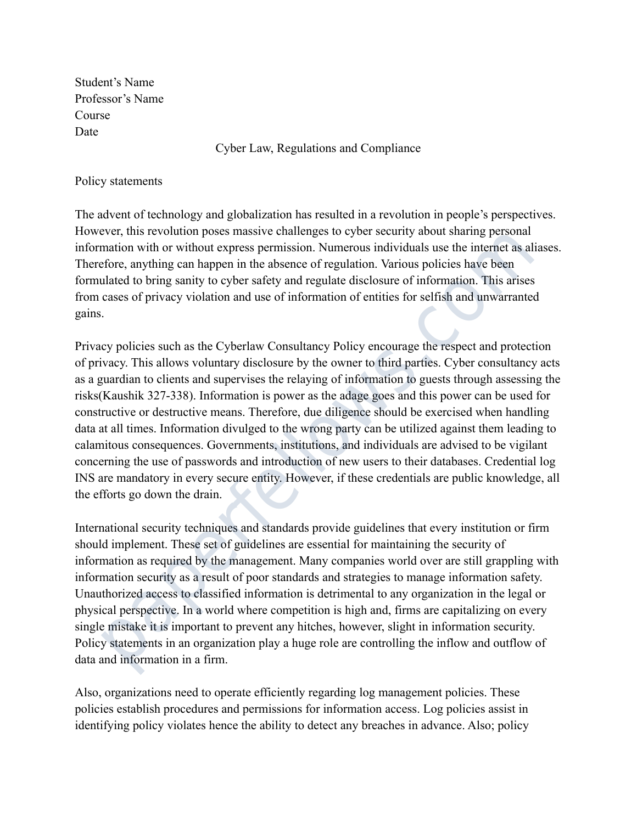Student's Name Professor's Name Course Date

Cyber Law, Regulations and Compliance

### Policy statements

The advent of technology and globalization has resulted in a revolution in people's perspectives. However, this revolution poses massive challenges to cyber security about sharing personal information with or without express permission. Numerous individuals use the internet as aliases. Therefore, anything can happen in the absence of regulation. Various policies have been formulated to bring sanity to cyber safety and regulate disclosure of information. This arises from cases of privacy violation and use of information of entities for selfish and unwarranted gains.

Privacy policies such as the Cyberlaw Consultancy Policy encourage the respect and protection of privacy. This allows voluntary disclosure by the owner to third parties. Cyber consultancy acts as a guardian to clients and supervises the relaying of information to guests through assessing the risks(Kaushik 327-338). Information is power as the adage goes and this power can be used for constructive or destructive means. Therefore, due diligence should be exercised when handling data at all times. Information divulged to the wrong party can be utilized against them leading to calamitous consequences. Governments, institutions, and individuals are advised to be vigilant concerning the use of passwords and introduction of new users to their databases. Credential log INS are mandatory in every secure entity. However, if these credentials are public knowledge, all the efforts go down the drain. dvent of technology and globalization has resulted in a revolution in people's perspectives,<br>vcc, this revolution posses massive challengs to cyber security about sharing personal<br>mation with or without cypress permission.

International security techniques and standards provide guidelines that every institution or firm should implement. These set of guidelines are essential for maintaining the security of information as required by the management. Many companies world over are still grappling with information security as a result of poor standards and strategies to manage information safety. Unauthorized access to classified information is detrimental to any organization in the legal or physical perspective. In a world where competition is high and, firms are capitalizing on every single mistake it is important to prevent any hitches, however, slight in information security. Policy statements in an organization play a huge role are controlling the inflow and outflow of data and information in a firm.

Also, organizations need to operate efficiently regarding log management policies. These policies establish procedures and permissions for information access. Log policies assist in identifying policy violates hence the ability to detect any breaches in advance. Also; policy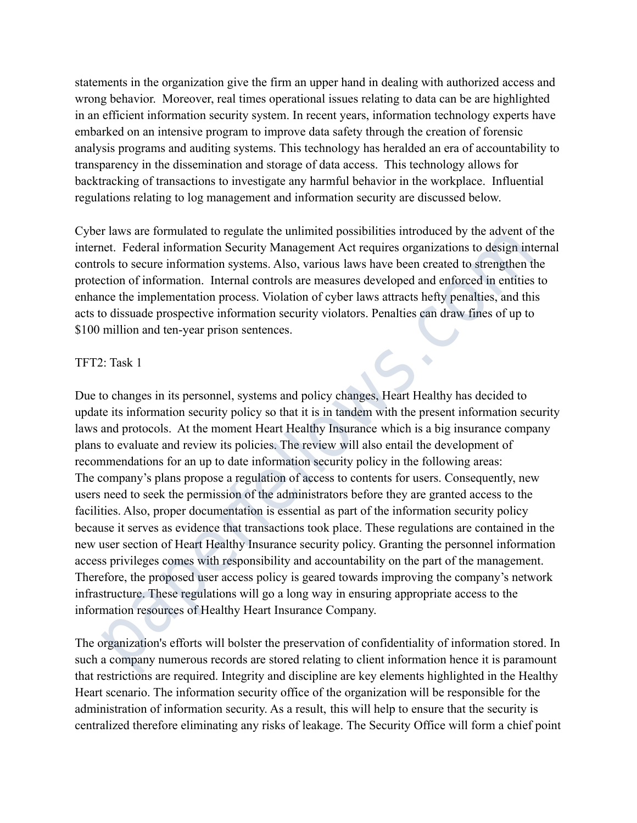statements in the organization give the firm an upper hand in dealing with authorized access and wrong behavior. Moreover, real times operational issues relating to data can be are highlighted in an efficient information security system. In recent years, information technology experts have embarked on an intensive program to improve data safety through the creation of forensic analysis programs and auditing systems. This technology has heralded an era of accountability to transparency in the dissemination and storage of data access. This technology allows for backtracking of transactions to investigate any harmful behavior in the workplace. Influential regulations relating to log management and information security are discussed below.

Cyber laws are formulated to regulate the unlimited possibilities introduced by the advent of the internet. Federal information Security Management Act requires organizations to design internal controls to secure information systems. Also, various laws have been created to strengthen the protection of information. Internal controls are measures developed and enforced in entities to enhance the implementation process. Violation of cyber laws attracts hefty penalties, and this acts to dissuade prospective information security violators. Penalties can draw fines of up to \$100 million and ten-year prison sentences.

#### TFT2: Task 1

Due to changes in its personnel, systems and policy changes, Heart Healthy has decided to update its information security policy so that it is in tandem with the present information security laws and protocols. At the moment Heart Healthy Insurance which is a big insurance company plans to evaluate and review its policies. The review will also entail the development of recommendations for an up to date information security policy in the following areas: The company's plans propose a regulation of access to contents for users. Consequently, new users need to seek the permission of the administrators before they are granted access to the facilities. Also, proper documentation is essential as part of the information security policy because it serves as evidence that transactions took place. These regulations are contained in the new user section of Heart Healthy Insurance security policy. Granting the personnel information access privileges comes with responsibility and accountability on the part of the management. Therefore, the proposed user access policy is geared towards improving the company's network infrastructure. These regulations will go a long way in ensuring appropriate access to the information resources of Healthy Heart Insurance Company. *F* laws arc formulated to regulate the unlimited possibilities introduced by the advent of the et. Federal information Security Management Act requires organizations to design internation of information systems. Also, var

The organization's efforts will bolster the preservation of confidentiality of information stored. In such a company numerous records are stored relating to client information hence it is paramount that restrictions are required. Integrity and discipline are key elements highlighted in the Healthy Heart scenario. The information security office of the organization will be responsible for the administration of information security. As a result, this will help to ensure that the security is centralized therefore eliminating any risks of leakage. The Security Office will form a chief point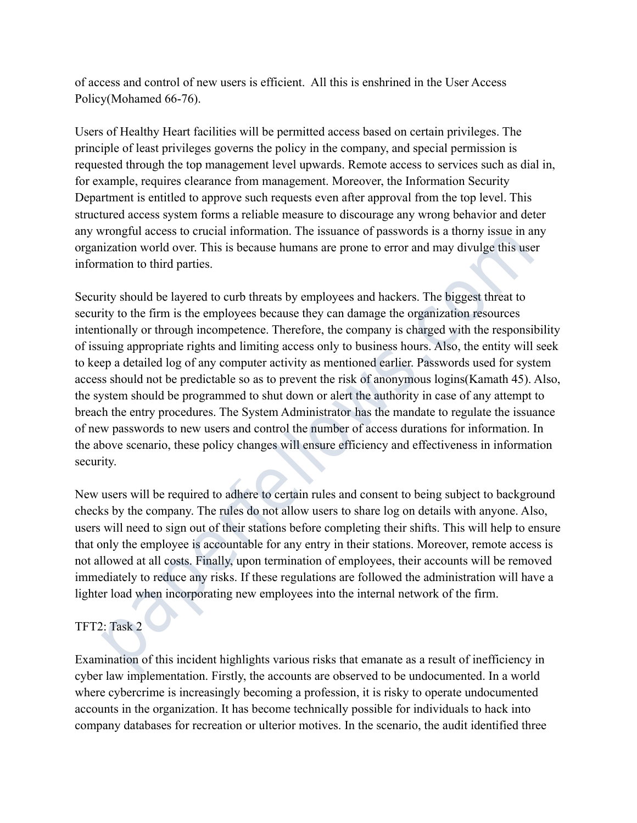of access and control of new users is efficient. All this is enshrined in the User Access Policy(Mohamed 66-76).

Users of Healthy Heart facilities will be permitted access based on certain privileges. The principle of least privileges governs the policy in the company, and special permission is requested through the top management level upwards. Remote access to services such as dial in, for example, requires clearance from management. Moreover, the Information Security Department is entitled to approve such requests even after approval from the top level. This structured access system forms a reliable measure to discourage any wrong behavior and deter any wrongful access to crucial information. The issuance of passwords is a thorny issue in any organization world over. This is because humans are prone to error and may divulge this user information to third parties.

Security should be layered to curb threats by employees and hackers. The biggest threat to security to the firm is the employees because they can damage the organization resources intentionally or through incompetence. Therefore, the company is charged with the responsibility of issuing appropriate rights and limiting access only to business hours. Also, the entity will seek to keep a detailed log of any computer activity as mentioned earlier. Passwords used for system access should not be predictable so as to prevent the risk of anonymous logins(Kamath 45). Also, the system should be programmed to shut down or alert the authority in case of any attempt to breach the entry procedures. The System Administrator has the mandate to regulate the issuance of new passwords to new users and control the number of access durations for information. In the above scenario, these policy changes will ensure efficiency and effectiveness in information security. ured access system forms a reliable measure to discourage any wrong behavior and deter<br>rongful access to crucial information. The issuance of passwords is a thorny issue in any<br>rongful access to crucial information. The is

New users will be required to adhere to certain rules and consent to being subject to background checks by the company. The rules do not allow users to share log on details with anyone. Also, users will need to sign out of their stations before completing their shifts. This will help to ensure that only the employee is accountable for any entry in their stations. Moreover, remote access is not allowed at all costs. Finally, upon termination of employees, their accounts will be removed immediately to reduce any risks. If these regulations are followed the administration will have a lighter load when incorporating new employees into the internal network of the firm.

# TFT2: Task 2

Examination of this incident highlights various risks that emanate as a result of inefficiency in cyber law implementation. Firstly, the accounts are observed to be undocumented. In a world where cybercrime is increasingly becoming a profession, it is risky to operate undocumented accounts in the organization. It has become technically possible for individuals to hack into company databases for recreation or ulterior motives. In the scenario, the audit identified three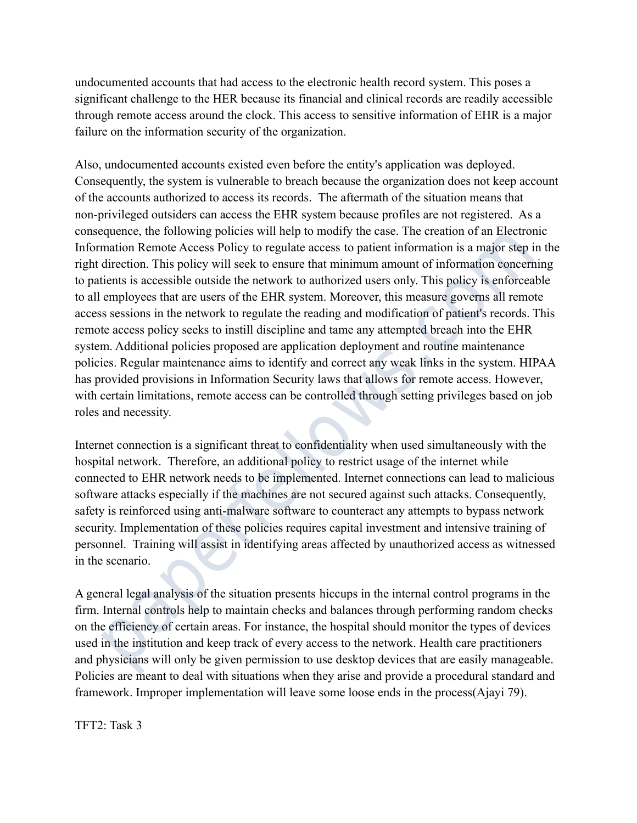undocumented accounts that had access to the electronic health record system. This poses a significant challenge to the HER because its financial and clinical records are readily accessible through remote access around the clock. This access to sensitive information of EHR is a major failure on the information security of the organization.

Also, undocumented accounts existed even before the entity's application was deployed. Consequently, the system is vulnerable to breach because the organization does not keep account of the accounts authorized to access its records. The aftermath of the situation means that non-privileged outsiders can access the EHR system because profiles are not registered. As a consequence, the following policies will help to modify the case. The creation of an Electronic Information Remote Access Policy to regulate access to patient information is a major step in the right direction. This policy will seek to ensure that minimum amount of information concerning to patients is accessible outside the network to authorized users only. This policy is enforceable to all employees that are users of the EHR system. Moreover, this measure governs all remote access sessions in the network to regulate the reading and modification of patient's records. This remote access policy seeks to instill discipline and tame any attempted breach into the EHR system. Additional policies proposed are application deployment and routine maintenance policies. Regular maintenance aims to identify and correct any weak links in the system. HIPAA has provided provisions in Information Security laws that allows for remote access. However, with certain limitations, remote access can be controlled through setting privileges based on job roles and necessity. rivileged outsiders can access the EHR system because profiles are not registered. As a<br>quonce, the following policies will help to modify the easc. The creation of an Electronic<br>nation Remote Access Policy to regulate acc

Internet connection is a significant threat to confidentiality when used simultaneously with the hospital network. Therefore, an additional policy to restrict usage of the internet while connected to EHR network needs to be implemented. Internet connections can lead to malicious software attacks especially if the machines are not secured against such attacks. Consequently, safety is reinforced using anti-malware software to counteract any attempts to bypass network security. Implementation of these policies requires capital investment and intensive training of personnel. Training will assist in identifying areas affected by unauthorized access as witnessed in the scenario.

A general legal analysis of the situation presents hiccups in the internal control programs in the firm. Internal controls help to maintain checks and balances through performing random checks on the efficiency of certain areas. For instance, the hospital should monitor the types of devices used in the institution and keep track of every access to the network. Health care practitioners and physicians will only be given permission to use desktop devices that are easily manageable. Policies are meant to deal with situations when they arise and provide a procedural standard and framework. Improper implementation will leave some loose ends in the process(Ajayi 79).

TFT2: Task 3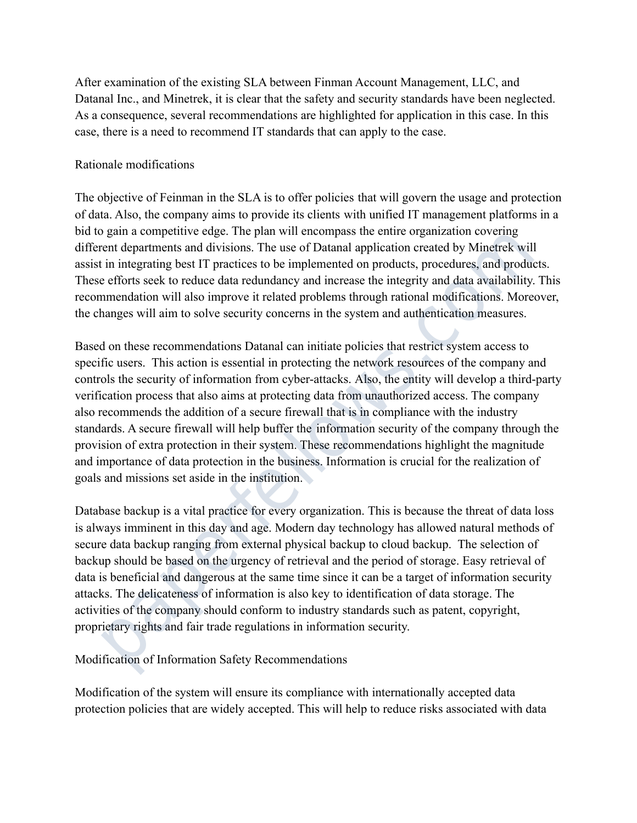After examination of the existing SLA between Finman Account Management, LLC, and Datanal Inc., and Minetrek, it is clear that the safety and security standards have been neglected. As a consequence, several recommendations are highlighted for application in this case. In this case, there is a need to recommend IT standards that can apply to the case.

# Rationale modifications

The objective of Feinman in the SLA is to offer policies that will govern the usage and protection of data. Also, the company aims to provide its clients with unified IT management platforms in a bid to gain a competitive edge. The plan will encompass the entire organization covering different departments and divisions. The use of Datanal application created by Minetrek will assist in integrating best IT practices to be implemented on products, procedures, and products. These efforts seek to reduce data redundancy and increase the integrity and data availability. This recommendation will also improve it related problems through rational modifications. Moreover, the changes will aim to solve security concerns in the system and authentication measures.

Based on these recommendations Datanal can initiate policies that restrict system access to specific users. This action is essential in protecting the network resources of the company and controls the security of information from cyber-attacks. Also, the entity will develop a third-party verification process that also aims at protecting data from unauthorized access. The company also recommends the addition of a secure firewall that is in compliance with the industry standards. A secure firewall will help buffer the information security of the company through the provision of extra protection in their system. These recommendations highlight the magnitude and importance of data protection in the business. Information is crucial for the realization of goals and missions set aside in the institution. a. Also, the company aims to provide its clients with unified IT management platforms in a gain a compatitive cdg. The plan will neormpass the cnire organization covering gain an empetitive degre. The plan will so compass

Database backup is a vital practice for every organization. This is because the threat of data loss is always imminent in this day and age. Modern day technology has allowed natural methods of secure data backup ranging from external physical backup to cloud backup. The selection of backup should be based on the urgency of retrieval and the period of storage. Easy retrieval of data is beneficial and dangerous at the same time since it can be a target of information security attacks. The delicateness of information is also key to identification of data storage. The activities of the company should conform to industry standards such as patent, copyright, proprietary rights and fair trade regulations in information security.

## Modification of Information Safety Recommendations

Modification of the system will ensure its compliance with internationally accepted data protection policies that are widely accepted. This will help to reduce risks associated with data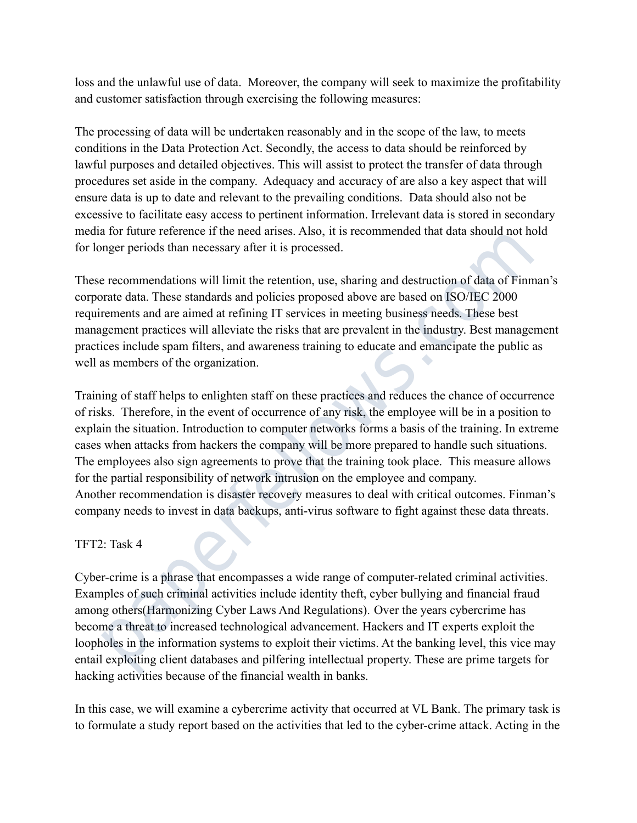loss and the unlawful use of data. Moreover, the company will seek to maximize the profitability and customer satisfaction through exercising the following measures:

The processing of data will be undertaken reasonably and in the scope of the law, to meets conditions in the Data Protection Act. Secondly, the access to data should be reinforced by lawful purposes and detailed objectives. This will assist to protect the transfer of data through procedures set aside in the company. Adequacy and accuracy of are also a key aspect that will ensure data is up to date and relevant to the prevailing conditions. Data should also not be excessive to facilitate easy access to pertinent information. Irrelevant data is stored in secondary media for future reference if the need arises. Also, it is recommended that data should not hold for longer periods than necessary after it is processed.

These recommendations will limit the retention, use, sharing and destruction of data of Finman's corporate data. These standards and policies proposed above are based on ISO/IEC 2000 requirements and are aimed at refining IT services in meeting business needs. These best management practices will alleviate the risks that are prevalent in the industry. Best management practices include spam filters, and awareness training to educate and emancipate the public as well as members of the organization.

Training of staff helps to enlighten staff on these practices and reduces the chance of occurrence of risks. Therefore, in the event of occurrence of any risk, the employee will be in a position to explain the situation. Introduction to computer networks forms a basis of the training. In extreme cases when attacks from hackers the company will be more prepared to handle such situations. The employees also sign agreements to prove that the training took place. This measure allows for the partial responsibility of network intrusion on the employee and company. Another recommendation is disaster recovery measures to deal with critical outcomes. Finman's company needs to invest in data backups, anti-virus software to fight against these data threats. sive to facilitate easy access to pertinent information. Irrelevant data is stored in secondary<br>for that is the reacher of the need arises. Also, it is recommended that data should not hold<br>negre periods than necessary aft

## TFT2: Task 4

Cyber-crime is a phrase that encompasses a wide range of computer-related criminal activities. Examples of such criminal activities include identity theft, cyber bullying and financial fraud among others(Harmonizing Cyber Laws And Regulations). Over the years cybercrime has become a threat to increased technological advancement. Hackers and IT experts exploit the loopholes in the information systems to exploit their victims. At the banking level, this vice may entail exploiting client databases and pilfering intellectual property. These are prime targets for hacking activities because of the financial wealth in banks.

In this case, we will examine a cybercrime activity that occurred at VL Bank. The primary task is to formulate a study report based on the activities that led to the cyber-crime attack. Acting in the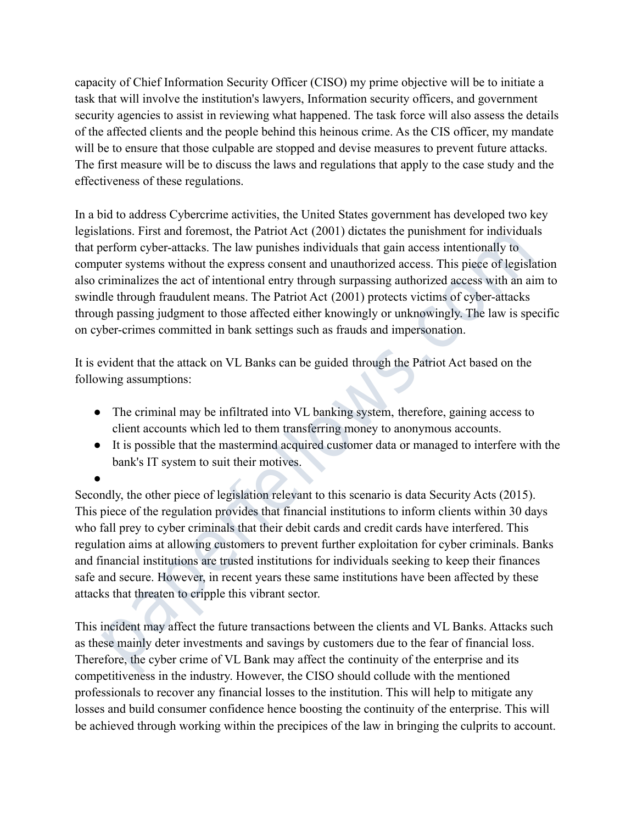capacity of Chief Information Security Officer (CISO) my prime objective will be to initiate a task that will involve the institution's lawyers, Information security officers, and government security agencies to assist in reviewing what happened. The task force will also assess the details of the affected clients and the people behind this heinous crime. As the CIS officer, my mandate will be to ensure that those culpable are stopped and devise measures to prevent future attacks. The first measure will be to discuss the laws and regulations that apply to the case study and the effectiveness of these regulations.

In a bid to address Cybercrime activities, the United States government has developed two key legislations. First and foremost, the Patriot Act (2001) dictates the punishment for individuals that perform cyber-attacks. The law punishes individuals that gain access intentionally to computer systems without the express consent and unauthorized access. This piece of legislation also criminalizes the act of intentional entry through surpassing authorized access with an aim to swindle through fraudulent means. The Patriot Act (2001) protects victims of cyber-attacks through passing judgment to those affected either knowingly or unknowingly. The law is specific on cyber-crimes committed in bank settings such as frauds and impersonation. id to address Cybercrime activities, the United States government has developed two key<br>ations. First and forcmost, the Patriot Act (2001) dictates the panishment for individuals<br>treform cyber-attacks. The law pumishes ind

It is evident that the attack on VL Banks can be guided through the Patriot Act based on the following assumptions:

●

- The criminal may be infiltrated into VL banking system, therefore, gaining access to client accounts which led to them transferring money to anonymous accounts.
- It is possible that the mastermind acquired customer data or managed to interfere with the bank's IT system to suit their motives.

Secondly, the other piece of legislation relevant to this scenario is data Security Acts (2015). This piece of the regulation provides that financial institutions to inform clients within 30 days who fall prey to cyber criminals that their debit cards and credit cards have interfered. This regulation aims at allowing customers to prevent further exploitation for cyber criminals. Banks and financial institutions are trusted institutions for individuals seeking to keep their finances safe and secure. However, in recent years these same institutions have been affected by these attacks that threaten to cripple this vibrant sector.

This incident may affect the future transactions between the clients and VL Banks. Attacks such as these mainly deter investments and savings by customers due to the fear of financial loss. Therefore, the cyber crime of VL Bank may affect the continuity of the enterprise and its competitiveness in the industry. However, the CISO should collude with the mentioned professionals to recover any financial losses to the institution. This will help to mitigate any losses and build consumer confidence hence boosting the continuity of the enterprise. This will be achieved through working within the precipices of the law in bringing the culprits to account.